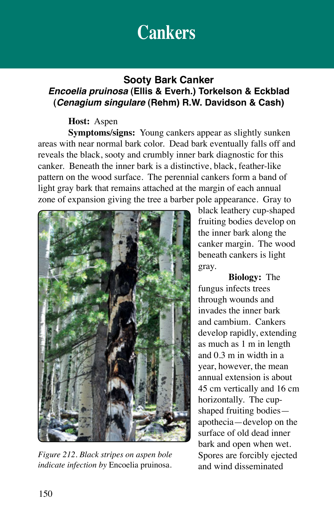# **Cankers**

### **Sooty Bark Canker** *Encoelia pruinosa* **(Ellis & Everh.) Torkelson & Eckblad (***Cenagium singulare* **(Rehm) R.W. Davidson & Cash)**

### **Host:** Aspen

**Symptoms/signs:** Young cankers appear as slightly sunken areas with near normal bark color. Dead bark eventually falls off and reveals the black, sooty and crumbly inner bark diagnostic for this canker. Beneath the inner bark is a distinctive, black, feather-like pattern on the wood surface. The perennial cankers form a band of light gray bark that remains attached at the margin of each annual zone of expansion giving the tree a barber pole appearance. Gray to



*Figure 212. Black stripes on aspen bole indicate infection by* Encoelia pruinosa.

black leathery cup-shaped fruiting bodies develop on the inner bark along the canker margin. The wood beneath cankers is light gray.

**Biology:** The fungus infects trees through wounds and invades the inner bark and cambium. Cankers develop rapidly, extending as much as 1 m in length and 0.3 m in width in a year, however, the mean annual extension is about 45 cm vertically and 16 cm horizontally. The cupshaped fruiting bodies apothecia—develop on the surface of old dead inner bark and open when wet. Spores are forcibly ejected and wind disseminated